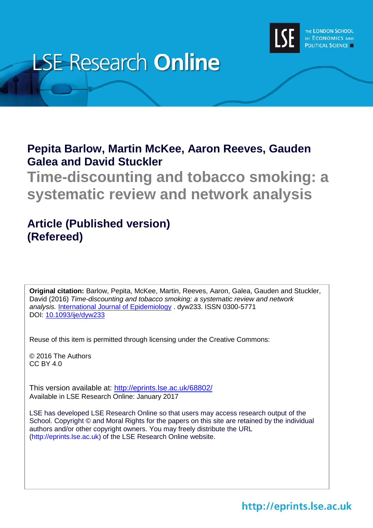

# **LSE Research Online**

# **Pepita Barlow, Martin McKee, Aaron Reeves, Gauden Galea and David Stuckler**

**Time-discounting and tobacco smoking: a systematic review and network analysis**

# **Article (Published version) (Refereed)**

**Original citation:** Barlow, Pepita, McKee, Martin, Reeves, Aaron, Galea, Gauden and Stuckler, David (2016) *Time-discounting and tobacco smoking: a systematic review and network analysis.* [International Journal of Epidemiology](mailto:http://ije.oxfordjournals.org/) . dyw233. ISSN 0300-5771 DOI: [10.1093/ije/dyw233](mailto:http://dx.doi.org/10.1093/ije/dyw233)

Reuse of this item is permitted through licensing under the Creative Commons:

© 2016 The Authors CC BY 4.0

This version available at: <http://eprints.lse.ac.uk/68802/> Available in LSE Research Online: January 2017

LSE has developed LSE Research Online so that users may access research output of the School. Copyright © and Moral Rights for the papers on this site are retained by the individual authors and/or other copyright owners. You may freely distribute the URL (http://eprints.lse.ac.uk) of the LSE Research Online website.

# http://eprints.lse.ac.uk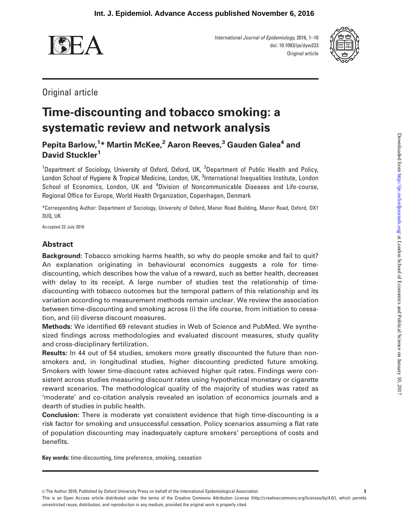

International Journal of Epidemiology, 2016, 1–10 doi: 10.1093/ije/dyw233 Original article



Original article

# Time-discounting and tobacco smoking: a systematic review and network analysis

Pepita Barlow,<sup>1</sup>\* Martin McKee,<sup>2</sup> Aaron Reeves,<sup>3</sup> Gauden Galea<sup>4</sup> and David Stuckler<sup>1</sup>

<sup>1</sup>Department of Sociology, University of Oxford, Oxford, UK, <sup>2</sup>Department of Public Health and Policy, London School of Hygiene & Tropical Medicine, London, UK, <sup>3</sup>International Inequalities Institute, London School of Economics, London, UK and <sup>4</sup>Division of Noncommunicable Diseases and Life-course, Regional Office for Europe, World Health Organization, Copenhagen, Denmark

\*Corresponding Author: Department of Sociology, University of Oxford, Manor Road Building, Manor Road, Oxford, OX1 3UQ, UK

Accepted 22 July 2016

# Abstract

Background: Tobacco smoking harms health, so why do people smoke and fail to quit? An explanation originating in behavioural economics suggests a role for timediscounting, which describes how the value of a reward, such as better health, decreases with delay to its receipt. A large number of studies test the relationship of timediscounting with tobacco outcomes but the temporal pattern of this relationship and its variation according to measurement methods remain unclear. We review the association between time-discounting and smoking across (i) the life course, from initiation to cessation, and (ii) diverse discount measures.

Methods: We identified 69 relevant studies in Web of Science and PubMed. We synthesized findings across methodologies and evaluated discount measures, study quality and cross-disciplinary fertilization.

Results: In 44 out of 54 studies, smokers more greatly discounted the future than nonsmokers and, in longitudinal studies, higher discounting predicted future smoking. Smokers with lower time-discount rates achieved higher quit rates. Findings were consistent across studies measuring discount rates using hypothetical monetary or cigarette reward scenarios. The methodological quality of the majority of studies was rated as 'moderate' and co-citation analysis revealed an isolation of economics journals and a dearth of studies in public health.

Conclusion: There is moderate yet consistent evidence that high time-discounting is a risk factor for smoking and unsuccessful cessation. Policy scenarios assuming a flat rate of population discounting may inadequately capture smokers' perceptions of costs and benefits.

Key words: time-discounting, time preference, smoking, cessation

 $©$  The Author 2016; Published by Oxford University Press on behalf of the International Epidemiological Association

This is an Open Access article distributed under the terms of the Creative Commons Attribution License (http://creativecommons.org/licenses/by/4.0/), which permits unrestricted reuse, distribution, and reproduction in any medium, provided the original work is properly cited.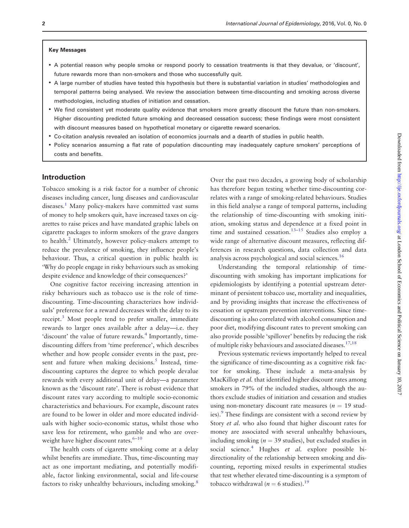#### Key Messages

- A potential reason why people smoke or respond poorly to cessation treatments is that they devalue, or 'discount', future rewards more than non-smokers and those who successfully quit.
- A large number of studies have tested this hypothesis but there is substantial variation in studies' methodologies and temporal patterns being analysed. We review the association between time-discounting and smoking across diverse methodologies, including studies of initiation and cessation.
- We find consistent yet moderate quality evidence that smokers more greatly discount the future than non-smokers. Higher discounting predicted future smoking and decreased cessation success; these findings were most consistent with discount measures based on hypothetical monetary or cigarette reward scenarios.
- Co-citation analysis revealed an isolation of economics journals and a dearth of studies in public health.
- Policy scenarios assuming a flat rate of population discounting may inadequately capture smokers' perceptions of costs and benefits.

#### Introduction

Tobacco smoking is a risk factor for a number of chronic diseases including cancer, lung diseases and cardiovascular diseases.<sup>[1](#page-8-0)</sup> Many policy-makers have committed vast sums of money to help smokers quit, have increased taxes on cigarettes to raise prices and have mandated graphic labels on cigarette packages to inform smokers of the grave dangers to health[.2](#page-8-0) Ultimately, however policy-makers attempt to reduce the prevalence of smoking, they influence people's behaviour. Thus, a critical question in public health is: 'Why do people engage in risky behaviours such as smoking despite evidence and knowledge of their consequences?'

One cognitive factor receiving increasing attention in risky behaviours such as tobacco use is the role of timediscounting. Time-discounting characterizes how individuals' preference for a reward decreases with the delay to its receipt.[3](#page-8-0) Most people tend to prefer smaller, immediate rewards to larger ones available after a delay—i.e. they 'discount' the value of future rewards.<sup>[4](#page-8-0)</sup> Importantly, timediscounting differs from 'time preference', which describes whether and how people consider events in the past, present and future when making decisions. $5$  Instead, timediscounting captures the degree to which people devalue rewards with every additional unit of delay—a parameter known as the 'discount rate'. There is robust evidence that discount rates vary according to multiple socio-economic characteristics and behaviours. For example, discount rates are found to be lower in older and more educated individuals with higher socio-economic status, whilst those who save less for retirement, who gamble and who are overweight have higher discount rates. $6-10$ 

The health costs of cigarette smoking come at a delay whilst benefits are immediate. Thus, time-discounting may act as one important mediating, and potentially modifiable, factor linking environmental, social and life-course factors to risky unhealthy behaviours, including smoking.<sup>8</sup>

Over the past two decades, a growing body of scholarship has therefore begun testing whether time-discounting correlates with a range of smoking-related behaviours. Studies in this field analyse a range of temporal patterns, including the relationship of time-discounting with smoking initiation, smoking status and dependence at a fixed point in time and sustained cessation.<sup>[13](#page-8-0)-[15](#page-8-0)</sup> Studies also employ a wide range of alternative discount measures, reflecting differences in research questions, data collection and data analysis across psychological and social sciences.[16](#page-8-0)

Understanding the temporal relationship of timediscounting with smoking has important implications for epidemiologists by identifying a potential upstream determinant of persistent tobacco use, mortality and inequalities, and by providing insights that increase the effectiveness of cessation or upstream prevention interventions. Since timediscounting is also correlated with alcohol consumption and poor diet, modifying discount rates to prevent smoking can also provide possible 'spillover' benefits by reducing the risk of multiple risky behaviours and associated diseases[.17,18](#page-8-0)

Previous systematic reviews importantly helped to reveal the significance of time-discounting as a cognitive risk factor for smoking. These include a meta-analysis by MacKillop *et al.* that identified higher discount rates among smokers in 79% of the included studies, although the authors exclude studies of initiation and cessation and studies using non-monetary discount rate measures ( $n = 19$  stud-ies).<sup>[9](#page-8-0)</sup> These findings are consistent with a second review by Story et al. who also found that higher discount rates for money are associated with several unhealthy behaviours, including smoking ( $n = 39$  studies), but excluded studies in social science.<sup>4</sup> Hughes *et al.* explore possible bidirectionality of the relationship between smoking and discounting, reporting mixed results in experimental studies that test whether elevated time-discounting is a symptom of tobacco withdrawal ( $n = 6$  studies).<sup>19</sup>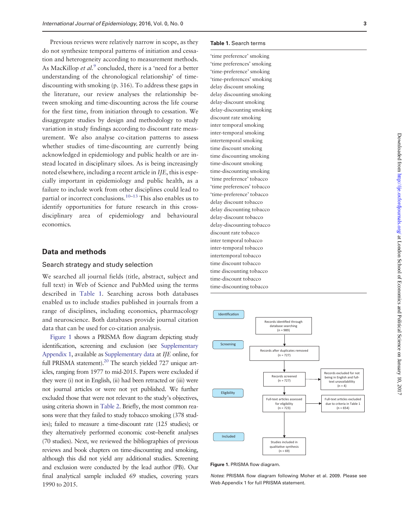Previous reviews were relatively narrow in scope, as they do not synthesize temporal patterns of initiation and cessation and heterogeneity according to measurement methods. As MacKillop *et al.*<sup>[9](#page-8-0)</sup> concluded, there is a 'need for a better understanding of the chronological relationship' of timediscounting with smoking (p. 316). To address these gaps in the literature, our review analyses the relationship between smoking and time-discounting across the life course for the first time, from initiation through to cessation. We disaggregate studies by design and methodology to study variation in study findings according to discount rate measurement. We also analyse co-citation patterns to assess whether studies of time-discounting are currently being acknowledged in epidemiology and public health or are instead located in disciplinary siloes. As is being increasingly noted elsewhere, including a recent article in IJE, this is especially important in epidemiology and public health, as a failure to include work from other disciplines could lead to partial or incorrect conclusions.<sup>10–[13](#page-8-0)</sup> This also enables us to identify opportunities for future research in this crossdisciplinary area of epidemiology and behavioural economics.

### Data and methods

## Search strategy and study selection

We searched all journal fields (title, abstract, subject and full text) in Web of Science and PubMed using the terms described in Table 1. Searching across both databases enabled us to include studies published in journals from a range of disciplines, including economics, pharmacology and neuroscience. Both databases provide journal citation data that can be used for co-citation analysis.

Figure 1 shows a PRISMA flow diagram depicting study identification, screening and exclusion (see [Supplementary](http://ije.oxfordjournals.org/lookup/suppl/doi:10.1093/ije/dyw233/-/DC1) [Appendix 1,](http://ije.oxfordjournals.org/lookup/suppl/doi:10.1093/ije/dyw233/-/DC1) available as [Supplementary data](http://ije.oxfordjournals.org/lookup/suppl/doi:10.1093/ije/dyw233/-/DC1) at IJE online, for full PRISMA statement).<sup>[20](#page-8-0)</sup> The search yielded 727 unique articles, ranging from 1977 to mid-2015. Papers were excluded if they were (i) not in English, (ii) had been retracted or (iii) were not journal articles or were not yet published. We further excluded those that were not relevant to the study's objectives, using criteria shown in [Table 2.](#page-4-0) Briefly, the most common reasons were that they failed to study tobacco smoking (378 studies); failed to measure a time-discount rate (125 studies); or they alternatively performed economic cost–benefit analyses (70 studies). Next, we reviewed the bibliographies of previous reviews and book chapters on time-discounting and smoking, although this did not yield any additional studies. Screening and exclusion were conducted by the lead author (PB). Our final analytical sample included 69 studies, covering years 1990 to 2015.

#### Table 1. Search terms

'time preference' smoking 'time preferences' smoking 'time-preference' smoking 'time-preferences' smoking delay discount smoking delay discounting smoking delay-discount smoking delay-discounting smoking discount rate smoking inter temporal smoking inter-temporal smoking intertemporal smoking time discount smoking time discounting smoking time-discount smoking time-discounting smoking 'time preference' tobacco 'time preferences' tobacco 'time-preference' tobacco delay discount tobacco delay discounting tobacco delay-discount tobacco delay-discounting tobacco discount rate tobacco inter temporal tobacco inter-temporal tobacco intertemporal tobacco time discount tobacco time discounting tobacco time-discount tobacco time-discounting tobacco



Figure 1. PRISMA flow diagram.

Notes: PRISMA flow diagram following Moher et al. 2009. Please see Web Appendix 1 for full PRISMA statement.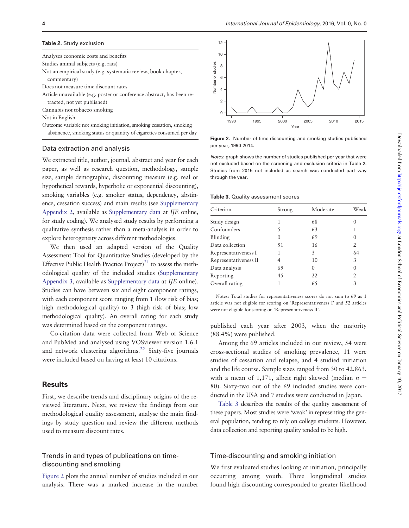#### <span id="page-4-0"></span>Table 2. Study exclusion

Analyses economic costs and benefits Studies animal subjects (e.g. rats) Not an empirical study (e.g. systematic review, book chapter, commentary) Does not measure time discount rates Article unavailable (e.g. poster or conference abstract, has been retracted, not yet published) Cannabis not tobacco smoking Not in English Outcome variable not smoking initiation, smoking cessation, smoking abstinence, smoking status or quantity of cigarettes consumed per day

#### Data extraction and analysis

We extracted title, author, journal, abstract and year for each paper, as well as research question, methodology, sample size, sample demographic, discounting measure (e.g. real or hypothetical rewards, hyperbolic or exponential discounting), smoking variables (e.g. smoker status, dependency, abstinence, cessation success) and main results (see [Supplementary](http://ije.oxfordjournals.org/lookup/suppl/doi:10.1093/ije/dyw233/-/DC1) [Appendix 2,](http://ije.oxfordjournals.org/lookup/suppl/doi:10.1093/ije/dyw233/-/DC1) available as [Supplementary data](http://ije.oxfordjournals.org/lookup/suppl/doi:10.1093/ije/dyw233/-/DC1) at IJE online, for study coding). We analysed study results by performing a qualitative synthesis rather than a meta-analysis in order to explore heterogeneity across different methodologies.

We then used an adapted version of the Quality Assessment Tool for Quantitative Studies (developed by the Effective Public Health Practice  $Project)^{21}$  $Project)^{21}$  $Project)^{21}$  to assess the methodological quality of the included studies [\(Supplementary](http://ije.oxfordjournals.org/lookup/suppl/doi:10.1093/ije/dyw233/-/DC1) [Appendix 3,](http://ije.oxfordjournals.org/lookup/suppl/doi:10.1093/ije/dyw233/-/DC1) available as [Supplementary data](http://ije.oxfordjournals.org/lookup/suppl/doi:10.1093/ije/dyw233/-/DC1) at IJE online). Studies can have between six and eight component ratings, with each component score ranging from 1 (low risk of bias; high methodological quality) to 3 (high risk of bias; low methodological quality). An overall rating for each study was determined based on the component ratings.

Co-citation data were collected from Web of Science and PubMed and analysed using VOSviewer version 1.6.1 and network clustering algorithms.<sup>[22](#page-8-0)</sup> Sixty-five journals were included based on having at least 10 citations.

#### **Results**

First, we describe trends and disciplinary origins of the reviewed literature. Next, we review the findings from our methodological quality assessment, analyse the main findings by study question and review the different methods used to measure discount rates.

# Trends in and types of publications on timediscounting and smoking

Figure 2 plots the annual number of studies included in our analysis. There was a marked increase in the number



Figure 2. Number of time-discounting and smoking studies published per year, 1990-2014.

Notes: graph shows the number of studies published per year that were not excluded based on the screening and exclusion criteria in Table 2. Studies from 2015 not included as search was conducted part way through the year.

#### Table 3. Quality assessment scores

| Criterion             | Strong | Moderate | Weak |
|-----------------------|--------|----------|------|
| Study design          |        | 68       |      |
| Confounders           | 5      | 63       |      |
| Blinding              |        | 69       | 0    |
| Data collection       | 51     | 16       | 2    |
| Representativeness I  | 1      | 3        | 64   |
| Representativeness II | 4      | 10       | 3    |
| Data analysis         | 69     | 0        | 0    |
| Reporting             | 45     | 22       | 2    |
| Overall rating        |        | 65       | 3    |
|                       |        |          |      |

Notes: Total studies for representativeness scores do not sum to 69 as 1 article was not eligible for scoring on 'Representativeness I' and 52 articles were not eligible for scoring on 'Representativeness II'.

published each year after 2003, when the majority (88.4%) were published.

Among the 69 articles included in our review, 54 were cross-sectional studies of smoking prevalence, 11 were studies of cessation and relapse, and 4 studied initiation and the life course. Sample sizes ranged from 30 to 42,863, with a mean of 1,171, albeit right skewed (median  $n =$ 80). Sixty-two out of the 69 included studies were conducted in the USA and 7 studies were conducted in Japan.

Table 3 describes the results of the quality assessment of these papers. Most studies were 'weak' in representing the general population, tending to rely on college students. However, data collection and reporting quality tended to be high.

#### Time-discounting and smoking initiation

We first evaluated studies looking at initiation, principally occurring among youth. Three longitudinal studies found high discounting corresponded to greater likelihood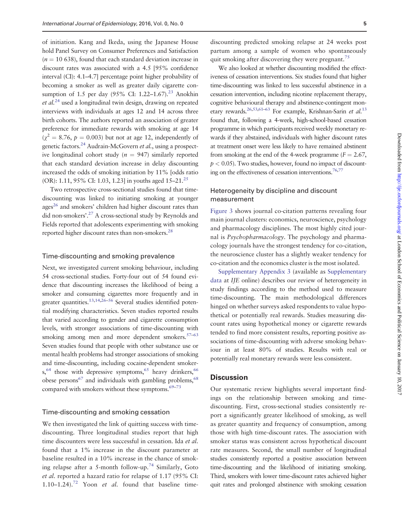of initiation. Kang and Ikeda, using the Japanese House hold Panel Survey on Consumer Preferences and Satisfaction  $(n = 10 638)$ , found that each standard deviation increase in discount rates was associated with a 4.5 [95% confidence interval (CI): 4.1–4.7] percentage point higher probability of becoming a smoker as well as greater daily cigarette consumption of 1.5 per day  $(95\% \text{ CI: } 1.22-1.67).^{23}$  Anokhin  $et al.<sup>24</sup>$  $et al.<sup>24</sup>$  $et al.<sup>24</sup>$  used a longitudinal twin design, drawing on repeated interviews with individuals at ages 12 and 14 across three birth cohorts. The authors reported an association of greater preference for immediate rewards with smoking at age 14  $(\chi^2 = 8.76, p = 0.003)$  but not at age 12, independently of genetic factors.<sup>[24](#page-8-0)</sup> Audrain-McGovern et al., using a prospective longitudinal cohort study ( $n = 947$ ) similarly reported that each standard deviation increase in delay discounting increased the odds of smoking initiation by 11% [odds ratio (OR): 1.11, 95% CI: 1.03, 1.23] in youths aged 15–21.<sup>[25](#page-8-0)</sup>

Two retrospective cross-sectional studies found that timediscounting was linked to initiating smoking at younger ages $^{26}$  and smokers' children had higher discount rates than did non-smokers'[.27](#page-8-0) A cross-sectional study by Reynolds and Fields reported that adolescents experimenting with smoking reported higher discount rates than non-smokers[.28](#page-8-0)

#### Time-discounting and smoking prevalence

Next, we investigated current smoking behaviour, including 54 cross-sectional studies. Forty-four out of 54 found evidence that discounting increases the likelihood of being a smoker and consuming cigarettes more frequently and in greater quantities.<sup>13,14,26–[56](#page-9-0)</sup> Several studies identified potential modifying characteristics. Seven studies reported results that varied according to gender and cigarette consumption levels, with stronger associations of time-discounting with smoking among men and more dependent smokers.<sup>57-[63](#page-9-0)</sup> Seven studies found that people with other substance use or mental health problems had stronger associations of smoking and time-discounting, including cocaine-dependent smoker $s<sub>5</sub><sup>64</sup>$  those with depressive symptoms,<sup>[65](#page-9-0)</sup> heavy drinkers,<sup>[66](#page-9-0)</sup> obese persons<sup>67</sup> and individuals with gambling problems,  $68$ compared with smokers without these symptoms. $69-73$  $69-73$ 

#### Time-discounting and smoking cessation

We then investigated the link of quitting success with timediscounting. Three longitudinal studies report that high time discounters were less successful in cessation. Ida et al. found that a 1% increase in the discount parameter at baseline resulted in a 10% increase in the chance of smok-ing relapse after a 5-month follow-up.<sup>[74](#page-10-0)</sup> Similarly, Goto et al. reported a hazard ratio for relapse of 1.17 (95% CI: 1.10–1.24).<sup>72</sup> Yoon et al. found that baseline time-

discounting predicted smoking relapse at 24 weeks post partum among a sample of women who spontaneously quit smoking after discovering they were pregnant.<sup>75</sup>

We also looked at whether discounting modified the effectiveness of cessation interventions. Six studies found that higher time-discounting was linked to less successful abstinence in a cessation intervention, including nicotine replacement therapy, cognitive behavioural therapy and abstinence-contingent mon-etary rewards.<sup>[26](#page-8-0)[,53,61–63](#page-9-0)</sup> For example, Krishnan-Sarin et al.<sup>[13](#page-8-0)</sup> found that, following a 4-week, high-school-based cessation programme in which participants received weekly monetary rewards if they abstained, individuals with higher discount rates at treatment onset were less likely to have remained abstinent from smoking at the end of the 4-week programme ( $F = 2.67$ ,  $p < 0.05$ ). Two studies, however, found no impact of discounting on the effectiveness of cessation interventions.<sup>76,77</sup>

## Heterogeneity by discipline and discount measurement

[Figure 3](#page-6-0) shows journal co-citation patterns revealing four main journal clusters: economics, neuroscience, psychology and pharmacology disciplines. The most highly cited journal is Psychopharmacology. The psychology and pharmacology journals have the strongest tendency for co-citation, the neuroscience cluster has a slightly weaker tendency for co-citation and the economics cluster is the most isolated.

[Supplementary Appendix 3](http://ije.oxfordjournals.org/lookup/suppl/doi:10.1093/ije/dyw233/-/DC1) (available as [Supplementary](http://ije.oxfordjournals.org/lookup/suppl/doi:10.1093/ije/dyw233/-/DC1) [data](http://ije.oxfordjournals.org/lookup/suppl/doi:10.1093/ije/dyw233/-/DC1) at IJE online) describes our review of heterogeneity in study findings according to the method used to measure time-discounting. The main methodological differences hinged on whether surveys asked respondents to value hypothetical or potentially real rewards. Studies measuring discount rates using hypothetical money or cigarette rewards tended to find more consistent results, reporting positive associations of time-discounting with adverse smoking behaviour in at least 80% of studies. Results with real or potentially real monetary rewards were less consistent.

# **Discussion**

Our systematic review highlights several important findings on the relationship between smoking and timediscounting. First, cross-sectional studies consistently report a significantly greater likelihood of smoking, as well as greater quantity and frequency of consumption, among those with high time-discount rates. The association with smoker status was consistent across hypothetical discount rate measures. Second, the small number of longitudinal studies consistently reported a positive association between time-discounting and the likelihood of initiating smoking. Third, smokers with lower time-discount rates achieved higher quit rates and prolonged abstinence with smoking cessation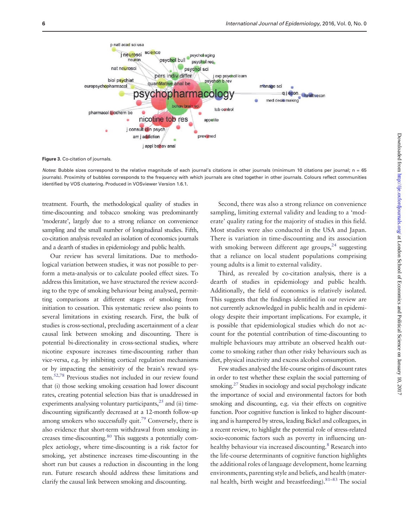<span id="page-6-0"></span>

Figure 3. Co-citation of journals.

Notes: Bubble sizes correspond to the relative magnitude of each journal's citations in other journals (minimum 10 citations per journal; n = 65 journals). Proximity of bubbles corresponds to the frequency with which journals are cited together in other journals. Colours reflect communities identified by VOS clustering. Produced in VOSviewer Version 1.6.1.

treatment. Fourth, the methodological quality of studies in time-discounting and tobacco smoking was predominantly 'moderate', largely due to a strong reliance on convenience sampling and the small number of longitudinal studies. Fifth, co-citation analysis revealed an isolation of economics journals and a dearth of studies in epidemiology and public health.

Our review has several limitations. Due to methodological variation between studies, it was not possible to perform a meta-analysis or to calculate pooled effect sizes. To address this limitation, we have structured the review according to the type of smoking behaviour being analysed, permitting comparisons at different stages of smoking from initiation to cessation. This systematic review also points to several limitations in existing research. First, the bulk of studies is cross-sectional, precluding ascertainment of a clear causal link between smoking and discounting. There is potential bi-directionality in cross-sectional studies, where nicotine exposure increases time-discounting rather than vice-versa, e.g. by inhibiting cortical regulation mechanisms or by impacting the sensitivity of the brain's reward system[.52](#page-9-0)[,78](#page-10-0) Previous studies not included in our review found that (i) those seeking smoking cessation had lower discount rates, creating potential selection bias that is unaddressed in experiments analysing voluntary participants, $^{25}$  $^{25}$  $^{25}$  and (ii) timediscounting significantly decreased at a 12-month follow-up among smokers who successfully quit.<sup>79</sup> Conversely, there is also evidence that short-term withdrawal from smoking increases time-discounting[.80](#page-10-0) This suggests a potentially complex aetiology, where time-discounting is a risk factor for smoking, yet abstinence increases time-discounting in the short run but causes a reduction in discounting in the long run. Future research should address these limitations and clarify the causal link between smoking and discounting.

Second, there was also a strong reliance on convenience sampling, limiting external validity and leading to a 'moderate' quality rating for the majority of studies in this field. Most studies were also conducted in the USA and Japan. There is variation in time-discounting and its association with smoking between different age groups,  $24$  suggesting that a reliance on local student populations comprising young adults is a limit to external validity.

Third, as revealed by co-citation analysis, there is a dearth of studies in epidemiology and public health. Additionally, the field of economics is relatively isolated. This suggests that the findings identified in our review are not currently acknowledged in public health and in epidemiology despite their important implications. For example, it is possible that epidemiological studies which do not account for the potential contribution of time-discounting to multiple behaviours may attribute an observed health outcome to smoking rather than other risky behaviours such as diet, physical inactivity and excess alcohol consumption.

Few studies analysed the life-course origins of discount rates in order to test whether these explain the social patterning of smoking.<sup>[27](#page-8-0)</sup> Studies in sociology and social psychology indicate the importance of social and environmental factors for both smoking and discounting, e.g. via their effects on cognitive function. Poor cognitive function is linked to higher discounting and is hampered by stress, leading Bickel and colleagues, in a recent review, to highlight the potential role of stress-related socio-economic factors such as poverty in influencing unhealthy behaviour via increased discounting.<sup>8</sup> Research into the life-course determinants of cognitive function highlights the additional roles of language development, home learning environments, parenting style and beliefs, and health (maternal health, birth weight and breastfeeding). <sup>81–83</sup> The social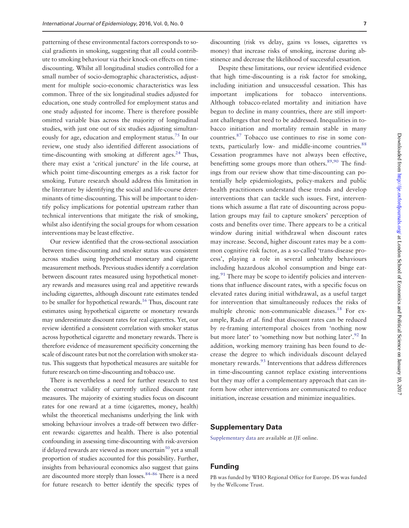patterning of these environmental factors corresponds to social gradients in smoking, suggesting that all could contribute to smoking behaviour via their knock-on effects on timediscounting. Whilst all longitudinal studies controlled for a small number of socio-demographic characteristics, adjustment for multiple socio-economic characteristics was less common. Three of the six longitudinal studies adjusted for education, one study controlled for employment status and one study adjusted for income. There is therefore possible omitted variable bias across the majority of longitudinal studies, with just one out of six studies adjusting simultan-eously for age, education and employment status.<sup>[75](#page-10-0)</sup> In our review, one study also identified different associations of time-discounting with smoking at different ages.<sup>[24](#page-8-0)</sup> Thus, there may exist a 'critical juncture' in the life course, at which point time-discounting emerges as a risk factor for smoking. Future research should address this limitation in the literature by identifying the social and life-course determinants of time-discounting. This will be important to identify policy implications for potential upstream rather than technical interventions that mitigate the risk of smoking, whilst also identifying the social groups for whom cessation interventions may be least effective.

Our review identified that the cross-sectional association between time-discounting and smoker status was consistent across studies using hypothetical monetary and cigarette measurement methods. Previous studies identify a correlation between discount rates measured using hypothetical monetary rewards and measures using real and appetitive rewards including cigarettes, although discount rate estimates tended to be smaller for hypothetical rewards.<sup>[16](#page-8-0)</sup> Thus, discount rate estimates using hypothetical cigarette or monetary rewards may underestimate discount rates for real cigarettes. Yet, our review identified a consistent correlation with smoker status across hypothetical cigarette and monetary rewards. There is therefore evidence of measurement specificity concerning the scale of discount rates but not the correlation with smoker status. This suggests that hypothetical measures are suitable for future research on time-discounting and tobacco use.

There is nevertheless a need for further research to test the construct validity of currently utilized discount rate measures. The majority of existing studies focus on discount rates for one reward at a time (cigarettes, money, health) whilst the theoretical mechanisms underlying the link with smoking behaviour involves a trade-off between two different rewards: cigarettes and health. There is also potential confounding in assessing time-discounting with risk-aversion if delayed rewards are viewed as more uncertain $^{50}$  $^{50}$  $^{50}$  yet a small proportion of studies accounted for this possibility. Further, insights from behavioural economics also suggest that gains are discounted more steeply than losses.<sup>[84–86](#page-10-0)</sup> There is a need for future research to better identify the specific types of

discounting (risk vs delay, gains vs losses, cigarettes vs money) that increase risks of smoking, increase during abstinence and decrease the likelihood of successful cessation.

Despite these limitations, our review identified evidence that high time-discounting is a risk factor for smoking, including initiation and unsuccessful cessation. This has important implications for tobacco interventions. Although tobacco-related mortality and initiation have begun to decline in many countries, there are still important challenges that need to be addressed. Inequalities in tobacco initiation and mortality remain stable in many countries[.87](#page-10-0) Tobacco use continues to rise in some contexts, particularly low- and middle-income countries.<sup>88</sup> Cessation programmes have not always been effective, benefitting some groups more than others. $89,90$  The findings from our review show that time-discounting can potentially help epidemiologists, policy-makers and public health practitioners understand these trends and develop interventions that can tackle such issues. First, interventions which assume a flat rate of discounting across population groups may fail to capture smokers' perception of costs and benefits over time. There appears to be a critical window during initial withdrawal when discount rates may increase. Second, higher discount rates may be a common cognitive risk factor, as a so-called 'trans-disease process', playing a role in several unhealthy behaviours including hazardous alcohol consumption and binge eating. $91$  There may be scope to identify policies and interventions that influence discount rates, with a specific focus on elevated rates during initial withdrawal, as a useful target for intervention that simultaneously reduces the risks of multiple chronic non-communicable diseases.<sup>18</sup> For example, Radu et al. find that discount rates can be reduced by re-framing intertemporal choices from 'nothing now but more later' to 'something now but nothing later'.<sup>92</sup> In addition, working memory training has been found to decrease the degree to which individuals discount delayed monetary rewards.<sup>93</sup> Interventions that address differences in time-discounting cannot replace existing interventions but they may offer a complementary approach that can inform how other interventions are communicated to reduce initiation, increase cessation and minimize inequalities.

#### Supplementary Data

[Supplementary data](http://ije.oxfordjournals.org/lookup/suppl/doi:10.1093/ije/dyw233/-/DC1) are available at IJE online.

# Funding

PB was funded by WHO Regional Office for Europe. DS was funded by the Wellcome Trust.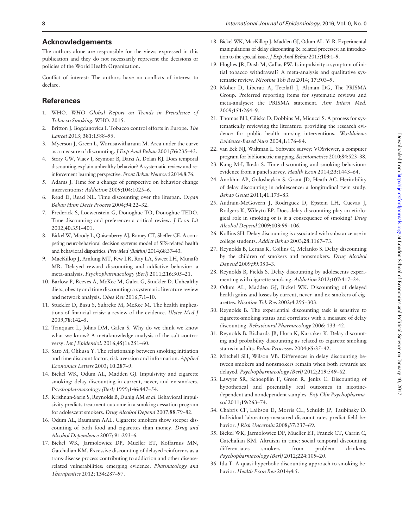## <span id="page-8-0"></span>Acknowledgements

The authors alone are responsible for the views expressed in this publication and they do not necessarily represent the decisions or policies of the World Health Organization.

Conflict of interest: The authors have no conflicts of interest to declare.

# **References**

- 1. WHO. WHO Global Report on Trends in Prevalence of Tobacco Smoking. WHO, 2015.
- 2. Britton J, Bogdanovica I. Tobacco control efforts in Europe. The Lancet 2013; 381:1588–95.
- 3. Myerson J, Green L, Warusawitharana M. Area under the curve as a measure of discounting. J Exp Anal Behav 2001;76:235–43.
- 4. Story GW, Vlaev I, Seymour B, Darzi A, Dolan RJ. Does temporal discounting explain unhealthy behavior? A systematic review and reinforcement learning perspective. Front Behav Neurosci 2014;8:76.
- 5. Adams J. Time for a change of perspective on behavior change interventions? Addiction 2009;104:1025–6.
- 6. Read D, Read NL. Time discounting over the lifespan. Organ Behav Hum Decis Process 2004;94:22–32.
- 7. Frederick S, Loewenstein G, Donoghue TO, Donoghue TEDO. Time discounting and preference: a critical review. J Econ Lit 2002;40:351–401.
- 8. Bickel W, Moody L, Quisenberry AJ, Ramey CT, Sheffer CE. A competing neurobehavioral decision systems model of SES-related health and behavioral disparities. Prev Med (Baltim) 2014;68:37–43.
- 9. MacKillop J, Amlung MT, Few LR, Ray LA, Sweet LH, Munafo- MR. Delayed reward discounting and addictive behavior: a meta-analysis. Psychopharmacology (Berl) 2011;216:305–21.
- 10. Barlow P, Reeves A, McKee M, Galea G, Stuckler D. Unhealthy diets, obesity and time discounting: a systematic literature review and network analysis. Obes Rev 2016;7:1–10.
- 11. Stuckler D, Basu S, Suhrcke M, McKee M. The health implications of financial crisis: a review of the evidence. Ulster Med J 2009;78:142–5.
- 12. Trinquart L, Johns DM, Galea S. Why do we think we know what we know? A metaknowledge analysis of the salt controversy. Int J Epidemiol. 2016;45(1):251-60.
- 13. Sato M, Ohkusa Y. The relationship between smoking initiation and time discount factor, risk aversion and information. Applied Economics Letters 2003; 10:287–9.
- 14. Bickel WK, Odum AL, Madden GJ. Impulsivity and cigarette smoking: delay discounting in current, never, and ex-smokers. Psychopharmacology (Berl) 1999;146:447–54.
- 15. Krishnan-Sarin S, Reynolds B, Duhig AM et al. Behavioral impulsivity predicts treatment outcome in a smoking cessation program for adolescent smokers. Drug Alcohol Depend 2007;88:79–82.
- 16. Odum AL, Baumann AAL. Cigarette smokers show steeper discounting of both food and cigarettes than money. Drug and Alcohol Dependence 2007; 91:293–6.
- 17. Bickel WK, Jarmolowicz DP, Mueller ET, Koffarnus MN, Gatchalian KM. Excessive discounting of delayed reinforcers as a trans-disease process contributing to addiction and other diseaserelated vulnerabilities: emerging evidence. Pharmacology and Therapeutics 2012; 134:287–97.
- 18. Bickel WK, MacKillop J, Madden GJ, Odum AL, Yi R. Experimental manipulations of delay discounting & related processes: an introduction to the special issue. J Exp Anal Behav 2015;103:1-9.
- 19. Hughes JR, Dash M, Callas PW. Is impulsivity a symptom of initial tobacco withdrawal? A meta-analysis and qualitative systematic review. Nicotine Tob Res 2014; 17:503–9.
- 20. Moher D, Liberati A, Tetzlaff J, Altman DG, The PRISMA Group. Preferred reporting items for systematic reviews and meta-analyses: the PRISMA statement. Ann Intern Med. 2009;151:264–9.
- 21. Thomas BH, Ciliska D, Dobbins M, Micucci S. A process for systematically reviewing the literature: providing the research evidence for public health nursing interventions. Worldviews Evidence-Based Nurs 2004;1:176–84.
- 22. van Eck NJ, Waltman L. Software survey: VOSviewer, a computer program for bibliometric mapping. Scientometrics 2010;84:523–38.
- 23. Kang M-I, Ikeda S. Time discounting and smoking behaviour: evidence from a panel survey. Health Econ 2014;23:1443–64.
- 24. Anokhin AP, Golosheykin S, Grant JD, Heath AC. Heritability of delay discounting in adolescence: a longitudinal twin study. Behav Genet 2011;41:175–83.
- 25. Audrain-McGovern J, Rodriguez D, Epstein LH, Cuevas J, Rodgers K, Wileyto EP. Does delay discounting play an etiological role in smoking or is it a consequence of smoking? Drug Alcohol Depend 2009;103:99–106.
- 26. Kollins SH. Delay discounting is associated with substance use in college students. Addict Behav 2003;28:1167–73.
- 27. Reynolds B, Leraas K, Collins C, Melanko S. Delay discounting by the children of smokers and nonsmokers. Drug Alcohol Depend 2009;99:350–3.
- 28. Reynolds B, Fields S. Delay discounting by adolescents experimenting with cigarette smoking. Addiction 2012;107:417–24.
- 29. Odum AL, Madden GJ, Bickel WK. Discounting of delayed health gains and losses by current, never- and ex-smokers of cigarettes. Nicotine Tob Res 2002;4:295–303.
- 30. Reynolds B. The experiential discounting task is sensitive to cigarette-smoking status and correlates with a measure of delay discounting. Behavioural Pharmacology 2006; 133–42.
- 31. Reynolds B, Richards JB, Horn K, Karraker K. Delay discounting and probability discounting as related to cigarette smoking status in adults. Behav Processes 2004;65:35–42.
- 32. Mitchell SH, Wilson VB. Differences in delay discounting between smokers and nonsmokers remain when both rewards are delayed. Psychopharmacology (Berl) 2012;219:549–62.
- 33. Lawyer SR, Schoepflin F, Green R, Jenks C. Discounting of hypothetical and potentially real outcomes in nicotinedependent and nondependent samples. Exp Clin Psychopharmacol 2011;19:263–74.
- 34. Chabris CF, Laibson D, Morris CL, Schuldt JP, Taubinsky D. Individual laboratory-measured discount rates predict field behavior. J Risk Uncertain 2008;37:237–69.
- 35. Bickel WK, Jarmolowicz DP, Mueller ET, Franck CT, Carrin C, Gatchalian KM. Altruism in time: social temporal discounting differentiates smokers from problem drinkers. Psychopharmacology (Berl) 2012;224:109–20.
- 36. Ida T. A quasi-hyperbolic discounting approach to smoking behavior. Health Econ Rev 2014;4:5.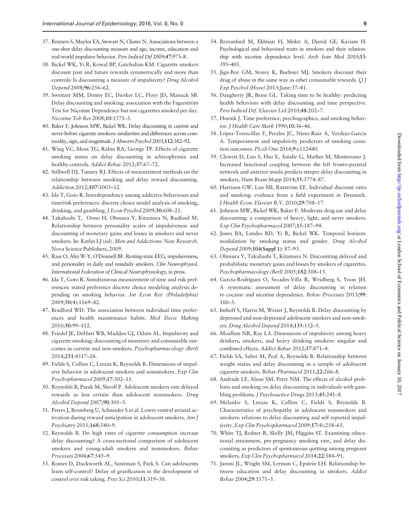- <span id="page-9-0"></span>37. Reimers S, Maylor EA, Stewart N, Chater N. Associations between a one-shot delay discounting measure and age, income, education and real-world impulsive behavior. Pers Individ Dif 2009;47:973–8.
- 38. Bickel WK, Yi R, Kowal BP, Gatchalian KM. Cigarette smokers discount past and future rewards symmetrically and more than controls: Is discounting a measure of impulsivity? Drug Alcohol Depend 2008;96:256–62.
- 39. Sweitzer MM, Donny EC, Dierker LC, Flory JD, Manuck SB. Delay discounting and smoking: association with the Fagerström Test for Nicotine Dependence but not cigarettes smoked per day. Nicotine Tob Res 2008;10:1571–5.
- 40. Baker F, Johnson MW, Bickel WK. Delay discounting in current and never-before cigarette smokers: similarities and differences across commodity, sign, and magnitude. J Abnorm Psychol 2003;112:382-92.
- 41. Wing VC, Moss TG, Rabin RA, George TP. Effects of cigarette smoking status on delay discounting in schizophrenia and healthy controls. Addict Behav 2012;37:67–72.
- 42. Stillwell DJ, Tunney RJ. Effects of measurement methods on the relationship between smoking and delay reward discounting. Addiction 2012;107:1003–12.
- 43. Ida T, Goto R. Interdependency among addictive behaviours and time/risk preferences: discrete choice model analysis of smoking, drinking, and gambling. J Econ Psychol 2009;30:608–21.
- 44. Takahashi T, Oono H, Ohmura Y, Kitamura N, Radford M. Relationship between personality scales of impulsiveness and discounting of monetary gains and losses in smokers and never smokers. In: Katlin LJ (ed). Men and Addictions: New Research. Nova Science Publishers, 2009.
- 45. Rass O, Ahn W-Y, O'Donnell BF. Resting-state EEG, impulsiveness, and personality in daily and nondaily smokers. Clin Neurophysiol. International Federation of Clinical Neurophysiology, in press.
- 46. Ida T, Goto R. Simultaneous measurement of time and risk preferences: stated preference discrete choice modeling analysis depending on smoking behavior. Int Econ Rev (Philadelphia) 2009;50(4):1169–82.
- 47. Bradford WD. The association between individual time preferences and health maintenance habits. Med Decis Making 2010;30:99–112.
- 48. Friedel JE, DeHart WB, Madden GJ, Odum AL. Impulsivity and cigarette smoking: discounting of monetary and consumable outcomes in current and non-smokers. Psychopharmacology (Berl) 2014;231:4517–26.
- 49. Fields S, Collins C, Leraas K, Reynolds B. Dimensions of impulsive behavior in adolescent smokers and nonsmokers. Exp Clin Psychopharmacol 2009;17:302–11.
- 50. Reynolds B, Patak M, Shroff P. Adolescent smokers rate delayed rewards as less certain than adolescent nonsmokers. Drug Alcohol Depend 2007;90:301–3.
- 51. Peters J, Bromberg U, Schneider S et al. Lower ventral striatal activation during reward anticipation in adolescent smokers. Am J Psychiatry 2011;168:540–9.
- 52. Reynolds B. Do high rates of cigarette consumption increase delay discounting? A cross-sectional comparison of adolescent smokers and young-adult smokers and nonsmokers. Behav Processes 2004;67:545–9.
- 53. Romer D, Duckworth AL, Sznitman S, Park S. Can adolescents learn self-control? Delay of gratification in the development of control over risk taking. Prev Sci 2010;11:319–30.
- 54. Rezvanfard M, Ekhtiari H, Mokri A, Djavid GE, Kaviani H. Psychological and behavioral traits in smokers and their relationship with nicotine dependence level. Arch Iran Med 2010;13: 395–405.
- 55. Jiga-Boy GM, Storey K, Buehner MJ. Smokers discount their drug of abuse in the same way as other consumable rewards. Q J Exp Psychol (Hove) 2013;June:37–41.
- 56. Daugherty JR, Brase GL. Taking time to be healthy: predicting health behaviors with delay discounting and time perspective. Pers Individ Dif. Elsevier Ltd 2010;48:202–7.
- 57. Hornik J. Time preference, psychographics, and smoking behavior. J Health Care Mark 1990;10:36–46.
- 58. López-Torrecillas F, Perales JC, Nieto-Ruiz A, Verdejo-García A. Temperament and impulsivity predictors of smoking cessation outcomes. PLoS One 2014;9:e112440.
- 59. Clewett D, Luo S, Hsu E, Ainslie G, Mather M, Monterosso J. Increased functional coupling between the left fronto-parietal network and anterior insula predicts steeper delay discounting in smokers. Hum Brain Mapp 2014;35:3774–87.
- 60. Harrison GW, Lau MI, Rutström EE. Individual discount rates and smoking: evidence from a field experiment in Denmark. J Health Econ. Elsevier B.V. 2010;29:708–17.
- 61. Johnson MW, Bickel WK, Baker F. Moderate drug use and delay discounting: a comparison of heavy, light, and never smokers. Exp Clin Psychopharmacol 2007;15:187–94.
- 62. Jones BA, Landes RD, Yi R, Bickel WK. Temporal horizon: modulation by smoking status and gender. Drug Alcohol Depend 2009;104(Suppl 1): 87–93.
- 63. Ohmura Y, Takahashi T, Kitamura N. Discounting delayed and probabilistic monetary gains and losses by smokers of cigarettes. Psychopharmacology (Berl) 2005;182:508–15.
- 64. García-Rodríguez O, Secades-Villa R, Weidberg S, Yoon JH. A systematic assessment of delay discounting in relation to cocaine and nicotine dependence. Behav Processes 2013;99: 100–5.
- 65. Imhoff S, Harris M, Weiser J, Reynolds B. Delay discounting by depressed and non-depressed adolescent smokers and non-smokers. Drug Alcohol Depend 2014;135:152–5.
- 66. Moallem NR, Ray LA. Dimensions of impulsivity among heavy drinkers, smokers, and heavy drinking smokers: singular and combined effects. Addict Behav 2012;37:871–4.
- 67. Fields SA, Sabet M, Peal A, Reynolds B. Relationship between weight status and delay discounting in a sample of adolescent cigarette smokers. Behav Pharmacol 2011;22:266–8.
- 68. Andrade LF, Alessi SM, Petry NM. The effects of alcohol problems and smoking on delay discounting in individuals with gambling problems. J Psychoactive Drugs 2013;45:241–8.
- 69. Melanko S, Leraas K, Collins C, Fields S, Reynolds B. Characteristics of psychopathy in adolescent nonsmokers and smokers: relations to delay discounting and self reported impulsivity. Exp Clin Psychopharmacol 2009;17(4):258–65.
- 70. White TJ, Redner R, Skelly JM, Higgins ST. Examining educational attainment, pre-pregnancy smoking rate, and delay discounting as predictors of spontaneous quitting among pregnant smokers. Exp Clin Psychopharmacol 2014;22:384–91.
- 71. Jaroni JL, Wright SM, Lerman C, Epstein LH. Relationship between education and delay discounting in smokers. Addict Behav 2004;29:1171–5.